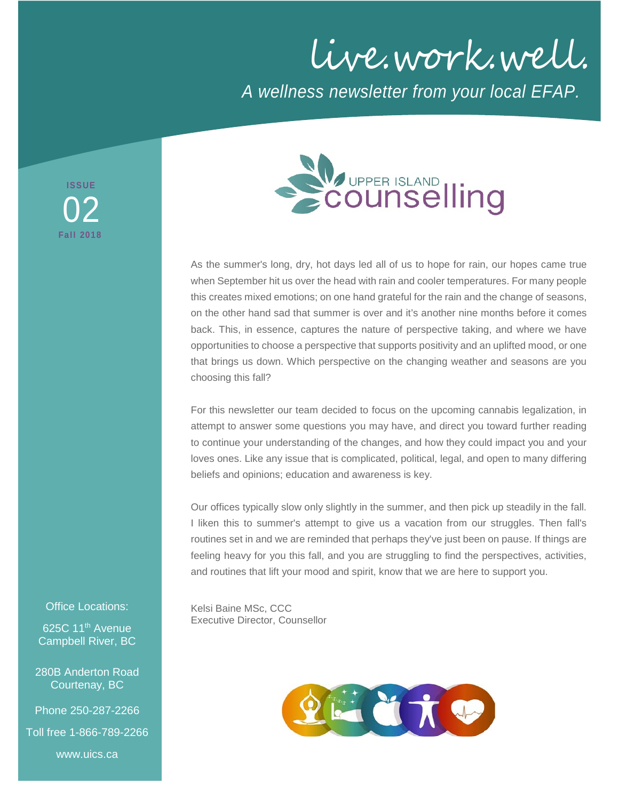live.work.well. *A wellness newsletter from your local EFAP.*



As the summer's long, dry, hot days led all of us to hope for rain, our hopes came true when September hit us over the head with rain and cooler temperatures. For many people this creates mixed emotions; on one hand grateful for the rain and the change of seasons, on the other hand sad that summer is over and it's another nine months before it comes back. This, in essence, captures the nature of perspective taking, and where we have opportunities to choose a perspective that supports positivity and an uplifted mood, or one that brings us down. Which perspective on the changing weather and seasons are you choosing this fall?

For this newsletter our team decided to focus on the upcoming cannabis legalization, in attempt to answer some questions you may have, and direct you toward further reading to continue your understanding of the changes, and how they could impact you and your loves ones. Like any issue that is complicated, political, legal, and open to many differing beliefs and opinions; education and awareness is key.

Our offices typically slow only slightly in the summer, and then pick up steadily in the fall. I liken this to summer's attempt to give us a vacation from our struggles. Then fall's routines set in and we are reminded that perhaps they've just been on pause. If things are feeling heavy for you this fall, and you are struggling to find the perspectives, activities, and routines that lift your mood and spirit, know that we are here to support you.

Kelsi Baine MSc, CCC Executive Director, Counsellor



#### Office Locations:

**ISSUE**

**Fall 2018**

02

625C 11<sup>th</sup> Avenue Campbell River, BC

280B Anderton Road Courtenay, BC

Phone 250-287-2266

Toll free 1-866-789-2266

www.uics.ca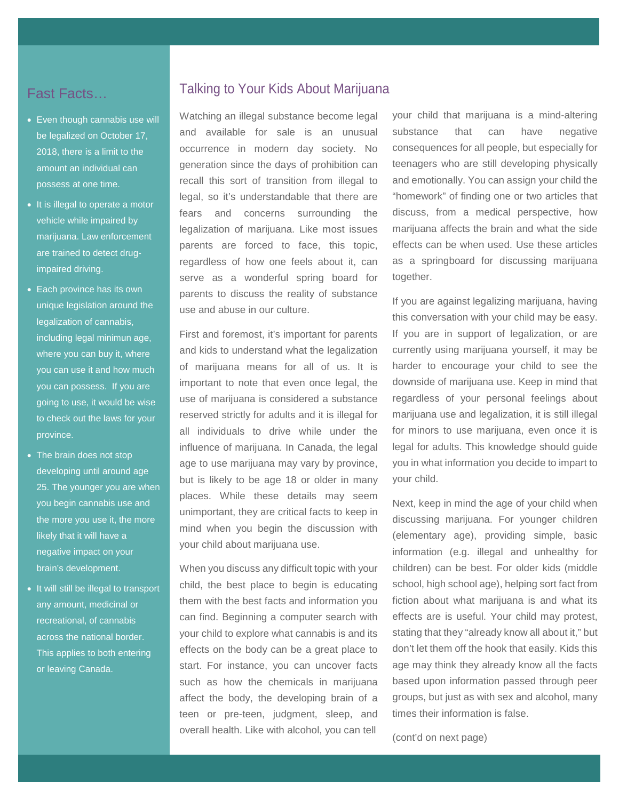# Fast Facts…

- Even though cannabis use will be legalized on October 17, 2018, there is a limit to the amount an individual can possess at one time.
- It is illegal to operate a motor vehicle while impaired by marijuana. Law enforcement are trained to detect drugimpaired driving.
- Each province has its own unique legislation around the legalization of cannabis, including legal minimun age, where you can buy it, where you can use it and how much you can possess. If you are going to use, it would be wise to check out the laws for your province.
- The brain does not stop developing until around age 25. The younger you are when you begin cannabis use and the more you use it, the more likely that it will have a negative impact on your brain's development.
- It will still be illegal to transport any amount, medicinal or recreational, of cannabis across the national border. This applies to both entering or leaving Canada.

### Talking to Your Kids About Marijuana

Watching an illegal substance become legal and available for sale is an unusual occurrence in modern day society. No generation since the days of prohibition can recall this sort of transition from illegal to legal, so it's understandable that there are fears and concerns surrounding the legalization of marijuana. Like most issues parents are forced to face, this topic, regardless of how one feels about it, can serve as a wonderful spring board for parents to discuss the reality of substance use and abuse in our culture.

First and foremost, it's important for parents and kids to understand what the legalization of marijuana means for all of us. It is important to note that even once legal, the use of marijuana is considered a substance reserved strictly for adults and it is illegal for all individuals to drive while under the influence of marijuana. In Canada, the legal age to use marijuana may vary by province, but is likely to be age 18 or older in many places. While these details may seem unimportant, they are critical facts to keep in mind when you begin the discussion with your child about marijuana use.

When you discuss any difficult topic with your child, the best place to begin is educating them with the best facts and information you can find. Beginning a computer search with your child to explore what cannabis is and its effects on the body can be a great place to start. For instance, you can uncover facts such as how the chemicals in marijuana affect the body, the developing brain of a teen or pre-teen, judgment, sleep, and overall health. Like with alcohol, you can tell

your child that marijuana is a mind-altering substance that can have negative consequences for all people, but especially for teenagers who are still developing physically and emotionally. You can assign your child the "homework" of finding one or two articles that discuss, from a medical perspective, how marijuana affects the brain and what the side effects can be when used. Use these articles as a springboard for discussing marijuana together.

If you are against legalizing marijuana, having this conversation with your child may be easy. If you are in support of legalization, or are currently using marijuana yourself, it may be harder to encourage your child to see the downside of marijuana use. Keep in mind that regardless of your personal feelings about marijuana use and legalization, it is still illegal for minors to use marijuana, even once it is legal for adults. This knowledge should guide you in what information you decide to impart to your child.

Next, keep in mind the age of your child when discussing marijuana. For younger children (elementary age), providing simple, basic information (e.g. illegal and unhealthy for children) can be best. For older kids (middle school, high school age), helping sort fact from fiction about what marijuana is and what its effects are is useful. Your child may protest, stating that they "already know all about it," but don't let them off the hook that easily. Kids this age may think they already know all the facts based upon information passed through peer groups, but just as with sex and alcohol, many times their information is false.

(cont'd on next page)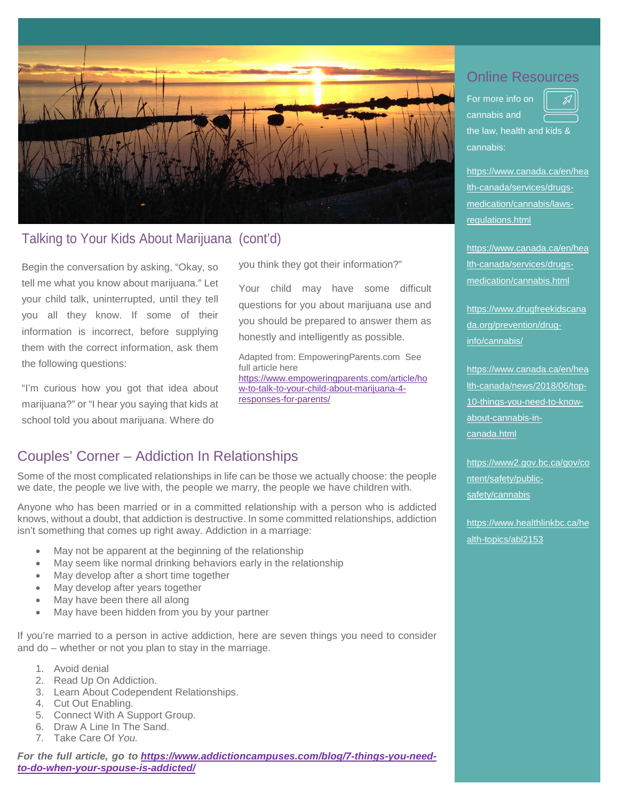

## Talking to Your Kids About Marijuana (cont'd)

Begin the conversation by asking, "Okay, so tell me what you know about marijuana." Let your child talk, uninterrupted, until they tell you all they know. If some of their information is incorrect, before supplying them with the correct information, ask them the following questions:

"I'm curious how you got that idea about marijuana?" or "I hear you saying that kids at school told you about marijuana. Where do

you think they got their information?"

Your child may have some difficult questions for you about marijuana use and you should be prepared to answer them as honestly and intelligently as possible.

Adapted from: EmpoweringParents.com See full article here [https://www.empoweringparents.com/article/ho](https://www.empoweringparents.com/article/how-to-talk-to-your-child-about-marijuana-4-responses-for-parents/) [w-to-talk-to-your-child-about-marijuana-4](https://www.empoweringparents.com/article/how-to-talk-to-your-child-about-marijuana-4-responses-for-parents/) [responses-for-parents/](https://www.empoweringparents.com/article/how-to-talk-to-your-child-about-marijuana-4-responses-for-parents/)

# Couples' Corner – Addiction In Relationships

Some of the most complicated relationships in life can be those we actually choose: the people we date, the people we live with, the people we marry, the people we have children with.

isn't something that comes up right away. Addiction in a marriage:<br>. Anyone who has been married or in a committed relationship with a person who is addicted knows, without a doubt, that addiction is destructive. In some committed relationships, addiction

- May not be apparent at the beginning of the relationship
- May seem like normal drinking behaviors early in the relationship
- May develop after a short time together
- May develop after years together
- May have been there all along
- May have been hidden from you by your partner

If you're married to a person in active addiction, here are seven things you need to consider and do – whether or not you [plan to stay](https://www.addictioncampuses.com/resources/addiction-campuses-blog/should-you-leave-an-addicted-spouse/) in the marriage.

- 1. Avoid denial
- 2. Read Up On Addiction.
- 3. Learn About Codependent Relationships.
- 4. Cut Out Enabling.
- 5. Connect With A Support Group.
- 6. Draw A Line In The Sand.
- 7. Take Care Of *You.*

*For the full article, go to [https://www.addictioncampuses.com/blog/7-things-you-need](https://www.addictioncampuses.com/blog/7-things-you-need-to-do-when-your-spouse-is-addicted/)[to-do-when-your-spouse-is-addicted/](https://www.addictioncampuses.com/blog/7-things-you-need-to-do-when-your-spouse-is-addicted/)*

# Online Resources

For more info on cannabis and the law, health and kids & cannabis:

[https://www.canada.ca/en/hea](https://www.canada.ca/en/health-canada/services/drugs-medication/cannabis/laws-regulations.html) [lth-canada/services/drugs](https://www.canada.ca/en/health-canada/services/drugs-medication/cannabis/laws-regulations.html)[medication/cannabis/laws](https://www.canada.ca/en/health-canada/services/drugs-medication/cannabis/laws-regulations.html)[regulations.html](https://www.canada.ca/en/health-canada/services/drugs-medication/cannabis/laws-regulations.html)

[https://www.canada.ca/en/hea](https://www.canada.ca/en/health-canada/services/drugs-medication/cannabis.html) [lth-canada/services/drugs](https://www.canada.ca/en/health-canada/services/drugs-medication/cannabis.html)[medication/cannabis.html](https://www.canada.ca/en/health-canada/services/drugs-medication/cannabis.html)

[https://www.drugfreekidscana](https://www.drugfreekidscanada.org/prevention/drug-info/cannabis/) [da.org/prevention/drug](https://www.drugfreekidscanada.org/prevention/drug-info/cannabis/)[info/cannabis/](https://www.drugfreekidscanada.org/prevention/drug-info/cannabis/)

[https://www.canada.ca/en/hea](https://www.canada.ca/en/health-canada/news/2018/06/top-10-things-you-need-to-know-about-cannabis-in-canada.html) [lth-canada/news/2018/06/top-](https://www.canada.ca/en/health-canada/news/2018/06/top-10-things-you-need-to-know-about-cannabis-in-canada.html)[10-things-you-need-to-know](https://www.canada.ca/en/health-canada/news/2018/06/top-10-things-you-need-to-know-about-cannabis-in-canada.html)[about-cannabis-in](https://www.canada.ca/en/health-canada/news/2018/06/top-10-things-you-need-to-know-about-cannabis-in-canada.html)[canada.html](https://www.canada.ca/en/health-canada/news/2018/06/top-10-things-you-need-to-know-about-cannabis-in-canada.html)

https://www2.gov.bc.ca/gov/co ntent/safety/publicsafety/cannabis

[https://www.healthlinkbc.ca/he](https://www.healthlinkbc.ca/health-topics/abl2153) [alth-topics/abl2153](https://www.healthlinkbc.ca/health-topics/abl2153)